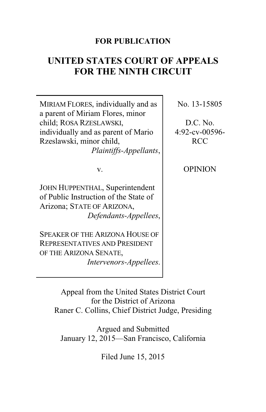# **FOR PUBLICATION**

# **UNITED STATES COURT OF APPEALS FOR THE NINTH CIRCUIT**

| MIRIAM FLORES, individually and as<br>a parent of Miriam Flores, minor                                                             | No. 13-15805   |
|------------------------------------------------------------------------------------------------------------------------------------|----------------|
| child; ROSA RZESLAWSKI,                                                                                                            | D.C. No.       |
| individually and as parent of Mario                                                                                                | 4:92-cv-00596- |
| Rzeslawski, minor child,                                                                                                           | <b>RCC</b>     |
| Plaintiffs-Appellants,                                                                                                             |                |
| v.                                                                                                                                 | <b>OPINION</b> |
| JOHN HUPPENTHAL, Superintendent<br>of Public Instruction of the State of<br>Arizona; STATE OF ARIZONA,<br>Defendants-Appellees,    |                |
| <b>SPEAKER OF THE ARIZONA HOUSE OF</b><br><b>REPRESENTATIVES AND PRESIDENT</b><br>OF THE ARIZONA SENATE,<br>Intervenors-Appellees. |                |
|                                                                                                                                    |                |

Appeal from the United States District Court for the District of Arizona Raner C. Collins, Chief District Judge, Presiding

Argued and Submitted January 12, 2015—San Francisco, California

Filed June 15, 2015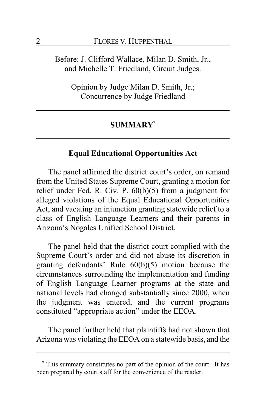Before: J. Clifford Wallace, Milan D. Smith, Jr., and Michelle T. Friedland, Circuit Judges.

Opinion by Judge Milan D. Smith, Jr.; Concurrence by Judge Friedland

### **SUMMARY\***

# **Equal Educational Opportunities Act**

The panel affirmed the district court's order, on remand from the United States Supreme Court, granting a motion for relief under Fed. R. Civ. P. 60(b)(5) from a judgment for alleged violations of the Equal Educational Opportunities Act, and vacating an injunction granting statewide relief to a class of English Language Learners and their parents in Arizona's Nogales Unified School District.

The panel held that the district court complied with the Supreme Court's order and did not abuse its discretion in granting defendants' Rule 60(b)(5) motion because the circumstances surrounding the implementation and funding of English Language Learner programs at the state and national levels had changed substantially since 2000, when the judgment was entered, and the current programs constituted "appropriate action" under the EEOA.

The panel further held that plaintiffs had not shown that Arizona was violating the EEOA on a statewide basis, and the

**<sup>\*</sup>** This summary constitutes no part of the opinion of the court. It has been prepared by court staff for the convenience of the reader.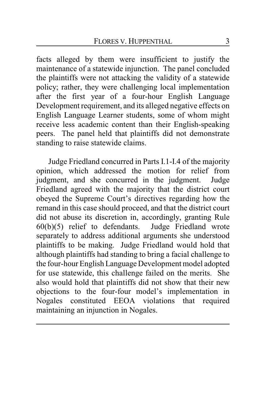facts alleged by them were insufficient to justify the maintenance of a statewide injunction. The panel concluded the plaintiffs were not attacking the validity of a statewide policy; rather, they were challenging local implementation after the first year of a four-hour English Language Development requirement, and its alleged negative effects on English Language Learner students, some of whom might receive less academic content than their English-speaking peers. The panel held that plaintiffs did not demonstrate standing to raise statewide claims.

Judge Friedland concurred in Parts I.1-I.4 of the majority opinion, which addressed the motion for relief from judgment, and she concurred in the judgment. Judge Friedland agreed with the majority that the district court obeyed the Supreme Court's directives regarding how the remand in this case should proceed, and that the district court did not abuse its discretion in, accordingly, granting Rule 60(b)(5) relief to defendants. Judge Friedland wrote  $60(b)(5)$  relief to defendants. separately to address additional arguments she understood plaintiffs to be making. Judge Friedland would hold that although plaintiffs had standing to bring a facial challenge to the four-hour English Language Development model adopted for use statewide, this challenge failed on the merits. She also would hold that plaintiffs did not show that their new objections to the four-four model's implementation in Nogales constituted EEOA violations that required maintaining an injunction in Nogales.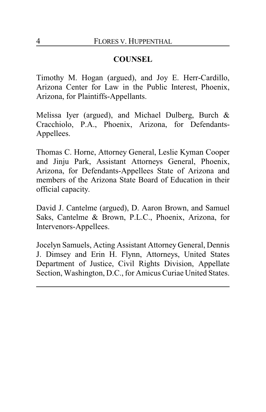# **COUNSEL**

Timothy M. Hogan (argued), and Joy E. Herr-Cardillo, Arizona Center for Law in the Public Interest, Phoenix, Arizona, for Plaintiffs-Appellants.

Melissa Iyer (argued), and Michael Dulberg, Burch & Cracchiolo, P.A., Phoenix, Arizona, for Defendants-Appellees.

Thomas C. Horne, Attorney General, Leslie Kyman Cooper and Jinju Park, Assistant Attorneys General, Phoenix, Arizona, for Defendants-Appellees State of Arizona and members of the Arizona State Board of Education in their official capacity.

David J. Cantelme (argued), D. Aaron Brown, and Samuel Saks, Cantelme & Brown, P.L.C., Phoenix, Arizona, for Intervenors-Appellees.

Jocelyn Samuels, Acting Assistant Attorney General, Dennis J. Dimsey and Erin H. Flynn, Attorneys, United States Department of Justice, Civil Rights Division, Appellate Section, Washington, D.C., for Amicus Curiae United States.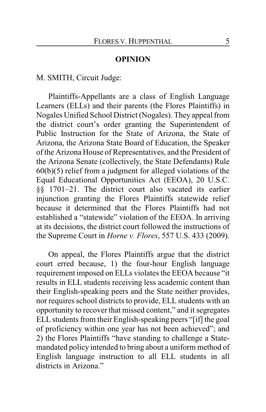#### **OPINION**

M. SMITH, Circuit Judge:

Plaintiffs-Appellants are a class of English Language Learners (ELLs) and their parents (the Flores Plaintiffs) in Nogales Unified School District (Nogales). They appeal from the district court's order granting the Superintendent of Public Instruction for the State of Arizona, the State of Arizona, the Arizona State Board of Education, the Speaker of the Arizona House of Representatives, and the President of the Arizona Senate (collectively, the State Defendants) Rule 60(b)(5) relief from a judgment for alleged violations of the Equal Educational Opportunities Act (EEOA), 20 U.S.C. §§ 1701–21. The district court also vacated its earlier injunction granting the Flores Plaintiffs statewide relief because it determined that the Flores Plaintiffs had not established a "statewide" violation of the EEOA. In arriving at its decisions, the district court followed the instructions of the Supreme Court in *Horne v. Flores*, 557 U.S. 433 (2009).

On appeal, the Flores Plaintiffs argue that the district court erred because, 1) the four-hour English language requirement imposed on ELLs violates the EEOA because "it results in ELL students receiving less academic content than their English-speaking peers and the State neither provides, nor requires school districts to provide, ELL students with an opportunity to recover that missed content," and it segregates ELL students from their English-speaking peers "[if] the goal of proficiency within one year has not been achieved"; and 2) the Flores Plaintiffs "have standing to challenge a Statemandated policy intended to bring about a uniform method of English language instruction to all ELL students in all districts in Arizona"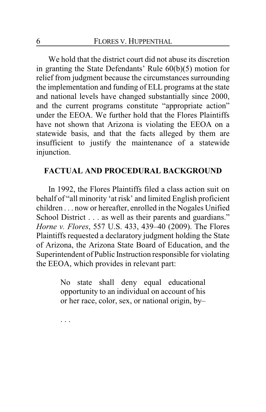We hold that the district court did not abuse its discretion in granting the State Defendants' Rule 60(b)(5) motion for relief from judgment because the circumstances surrounding the implementation and funding of ELL programs at the state and national levels have changed substantially since 2000, and the current programs constitute "appropriate action" under the EEOA. We further hold that the Flores Plaintiffs have not shown that Arizona is violating the EEOA on a statewide basis, and that the facts alleged by them are insufficient to justify the maintenance of a statewide injunction.

## **FACTUAL AND PROCEDURAL BACKGROUND**

In 1992, the Flores Plaintiffs filed a class action suit on behalf of "all minority 'at risk' and limited English proficient children . . . now or hereafter, enrolled in the Nogales Unified School District . . . as well as their parents and guardians." *Horne v. Flores*, 557 U.S. 433, 439–40 (2009). The Flores Plaintiffs requested a declaratory judgment holding the State of Arizona, the Arizona State Board of Education, and the Superintendent of Public Instruction responsible for violating the EEOA, which provides in relevant part:

> No state shall deny equal educational opportunity to an individual on account of his or her race, color, sex, or national origin, by–

. . .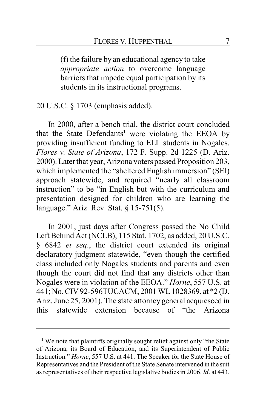(f) the failure by an educational agency to take *appropriate action* to overcome language barriers that impede equal participation by its students in its instructional programs.

20 U.S.C. § 1703 (emphasis added).

In 2000, after a bench trial, the district court concluded that the State Defendants**<sup>1</sup>** were violating the EEOA by providing insufficient funding to ELL students in Nogales. *Flores v. State of Arizona*, 172 F. Supp. 2d 1225 (D. Ariz. 2000). Later that year, Arizona voters passed Proposition 203, which implemented the "sheltered English immersion" (SEI) approach statewide, and required "nearly all classroom instruction" to be "in English but with the curriculum and presentation designed for children who are learning the language." Ariz. Rev. Stat. § 15-751(5).

In 2001, just days after Congress passed the No Child Left Behind Act (NCLB), 115 Stat. 1702, as added, 20 U.S.C. § 6842 *et seq*., the district court extended its original declaratory judgment statewide, "even though the certified class included only Nogales students and parents and even though the court did not find that any districts other than Nogales were in violation of the EEOA." *Horne*, 557 U.S. at 441; No. CIV 92-596TUCACM, 2001 WL1028369, at \*2 (D. Ariz. June 25, 2001). The state attorney general acquiesced in this statewide extension because of "the Arizona

<sup>&</sup>lt;sup>1</sup> We note that plaintiffs originally sought relief against only "the State of Arizona, its Board of Education, and its Superintendent of Public Instruction." *Horne*, 557 U.S. at 441. The Speaker for the State House of Representatives and the President of the State Senate intervened in the suit as representatives of their respective legislative bodies in 2006. *Id*. at 443.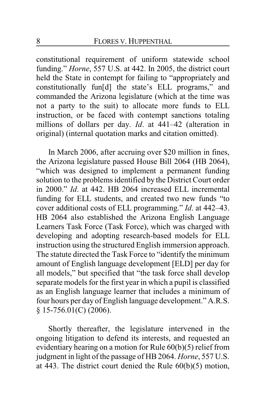constitutional requirement of uniform statewide school funding." *Horne*, 557 U.S. at 442. In 2005, the district court held the State in contempt for failing to "appropriately and constitutionally fun[d] the state's ELL programs," and commanded the Arizona legislature (which at the time was not a party to the suit) to allocate more funds to ELL instruction, or be faced with contempt sanctions totaling millions of dollars per day. *Id*. at 441–42 (alteration in original) (internal quotation marks and citation omitted).

In March 2006, after accruing over \$20 million in fines, the Arizona legislature passed House Bill 2064 (HB 2064), "which was designed to implement a permanent funding solution to the problems identified by the District Court order in 2000." *Id*. at 442. HB 2064 increased ELL incremental funding for ELL students, and created two new funds "to cover additional costs of ELL programming." *Id*. at 442–43. HB 2064 also established the Arizona English Language Learners Task Force (Task Force), which was charged with developing and adopting research-based models for ELL instruction using the structured English immersion approach. The statute directed the Task Force to "identify the minimum amount of English language development [ELD] per day for all models," but specified that "the task force shall develop separate models for the first year in which a pupil is classified as an English language learner that includes a minimum of four hours per day of English language development." A.R.S. § 15-756.01(C) (2006).

Shortly thereafter, the legislature intervened in the ongoing litigation to defend its interests, and requested an evidentiary hearing on a motion for Rule 60(b)(5) relief from judgment in light of the passage of HB 2064. *Horne*, 557 U.S. at 443. The district court denied the Rule 60(b)(5) motion,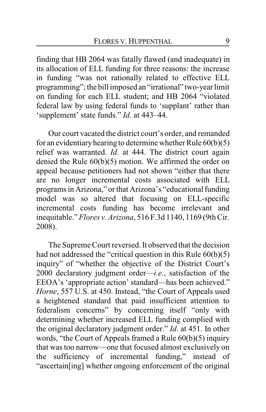finding that HB 2064 was fatally flawed (and inadequate) in its allocation of ELL funding for three reasons: the increase in funding "was not rationally related to effective ELL programming"; the bill imposed an "irrational" two-year limit on funding for each ELL student; and HB 2064 "violated federal law by using federal funds to 'supplant' rather than 'supplement' state funds." *Id*. at 443–44.

Our court vacated the district court's order, and remanded for an evidentiary hearing to determine whether Rule  $60(b)(5)$ relief was warranted. *Id*. at 444. The district court again denied the Rule 60(b)(5) motion. We affirmed the order on appeal because petitioners had not shown "either that there are no longer incremental costs associated with ELL programs in Arizona," or that Arizona's "educational funding model was so altered that focusing on ELL-specific incremental costs funding has become irrelevant and inequitable." *Flores v. Arizona*, 516 F.3d 1140, 1169 (9th Cir. 2008).

The Supreme Court reversed. It observed that the decision had not addressed the "critical question in this Rule 60(b)(5) inquiry" of "whether the objective of the District Court's 2000 declaratory judgment order—*i.e.*, satisfaction of the EEOA's 'appropriate action' standard—has been achieved." *Horne*, 557 U.S. at 450. Instead, "the Court of Appeals used a heightened standard that paid insufficient attention to federalism concerns" by concerning itself "only with determining whether increased ELL funding complied with the original declaratory judgment order." *Id*. at 451. In other words, "the Court of Appeals framed a Rule 60(b)(5) inquiry that was too narrow—one that focused almost exclusively on the sufficiency of incremental funding," instead of "ascertain[ing] whether ongoing enforcement of the original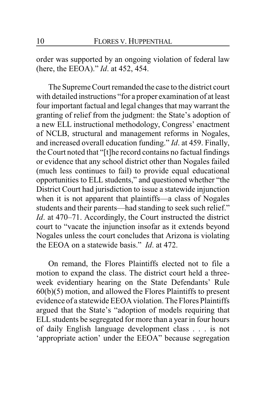order was supported by an ongoing violation of federal law (here, the EEOA)." *Id*. at 452, 454.

The Supreme Court remanded the case to the district court with detailed instructions "for a proper examination of at least four important factual and legal changes that may warrant the granting of relief from the judgment: the State's adoption of a new ELL instructional methodology, Congress' enactment of NCLB, structural and management reforms in Nogales, and increased overall education funding." *Id*. at 459. Finally, the Court noted that "[t]he record contains no factual findings or evidence that any school district other than Nogales failed (much less continues to fail) to provide equal educational opportunities to ELL students," and questioned whether "the District Court had jurisdiction to issue a statewide injunction when it is not apparent that plaintiffs—a class of Nogales students and their parents—had standing to seek such relief." *Id*. at 470–71. Accordingly, the Court instructed the district court to "vacate the injunction insofar as it extends beyond Nogales unless the court concludes that Arizona is violating the EEOA on a statewide basis." *Id*. at 472.

On remand, the Flores Plaintiffs elected not to file a motion to expand the class. The district court held a threeweek evidentiary hearing on the State Defendants' Rule 60(b)(5) motion, and allowed the Flores Plaintiffs to present evidence of a statewide EEOA violation. The Flores Plaintiffs argued that the State's "adoption of models requiring that ELL students be segregated for more than a year in four hours of daily English language development class . . . is not 'appropriate action' under the EEOA" because segregation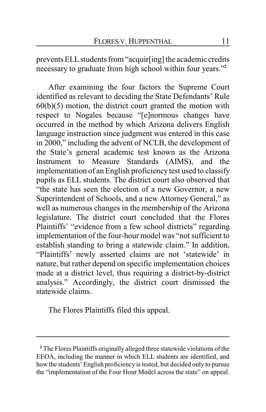prevents ELL students from "acquir[ing] the academic credits necessary to graduate from high school within four years."**<sup>2</sup>**

After examining the four factors the Supreme Court identified as relevant to deciding the State Defendants' Rule  $60(b)(5)$  motion, the district court granted the motion with respect to Nogales because "[e]normous changes have occurred in the method by which Arizona delivers English language instruction since judgment was entered in this case in 2000," including the advent of NCLB, the development of the State's general academic test known as the Arizona Instrument to Measure Standards (AIMS), and the implementation of an English proficiency test used to classify pupils as ELL students. The district court also observed that "the state has seen the election of a new Governor, a new Superintendent of Schools, and a new Attorney General," as well as numerous changes in the membership of the Arizona legislature. The district court concluded that the Flores Plaintiffs' "evidence from a few school districts" regarding implementation of the four-hour model was "not sufficient to establish standing to bring a statewide claim." In addition, "Plaintiffs' newly asserted claims are not 'statewide' in nature, but rather depend on specific implementation choices made at a district level, thus requiring a district-by-district analysis." Accordingly, the district court dismissed the statewide claims.

The Flores Plaintiffs filed this appeal.

**<sup>2</sup>** The Flores Plaintiffs originally alleged three statewide violations of the EEOA, including the manner in which ELL students are identified, and how the students' English proficiency is tested, but decided only to pursue the "implementation of the Four Hour Model across the state" on appeal.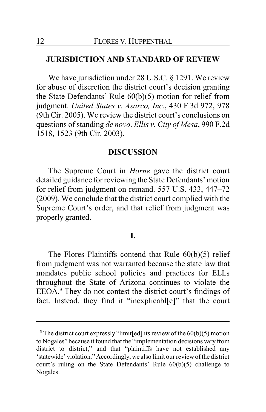## **JURISDICTION AND STANDARD OF REVIEW**

We have jurisdiction under 28 U.S.C. § 1291. We review for abuse of discretion the district court's decision granting the State Defendants' Rule 60(b)(5) motion for relief from judgment. *United States v. Asarco, Inc.*, 430 F.3d 972, 978 (9th Cir. 2005). We review the district court's conclusions on questions of standing *de novo*. *Ellis v. City of Mesa*, 990 F.2d 1518, 1523 (9th Cir. 2003).

### **DISCUSSION**

The Supreme Court in *Horne* gave the district court detailed guidance for reviewing the State Defendants' motion for relief from judgment on remand. 557 U.S. 433, 447–72 (2009). We conclude that the district court complied with the Supreme Court's order, and that relief from judgment was properly granted.

#### **I.**

The Flores Plaintiffs contend that Rule 60(b)(5) relief from judgment was not warranted because the state law that mandates public school policies and practices for ELLs throughout the State of Arizona continues to violate the EEOA.**<sup>3</sup>** They do not contest the district court's findings of fact. Instead, they find it "inexplicabl[e]" that the court

**<sup>3</sup>** The district court expressly "limit[ed] its review of the 60(b)(5) motion to Nogales" because it found that the "implementation decisions vary from district to district," and that "plaintiffs have not established any 'statewide' violation." Accordingly, we also limit our reviewofthe district court's ruling on the State Defendants' Rule 60(b)(5) challenge to Nogales.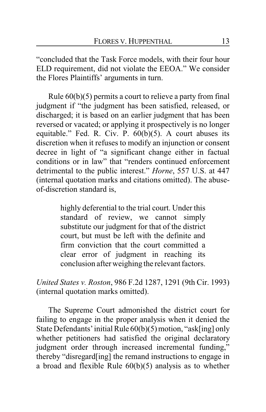"concluded that the Task Force models, with their four hour ELD requirement, did not violate the EEOA." We consider the Flores Plaintiffs' arguments in turn.

Rule 60(b)(5) permits a court to relieve a party from final judgment if "the judgment has been satisfied, released, or discharged; it is based on an earlier judgment that has been reversed or vacated; or applying it prospectively is no longer equitable." Fed. R. Civ. P.  $60(b)(5)$ . A court abuses its discretion when it refuses to modify an injunction or consent decree in light of "a significant change either in factual conditions or in law" that "renders continued enforcement detrimental to the public interest." *Horne*, 557 U.S. at 447 (internal quotation marks and citations omitted). The abuseof-discretion standard is,

> highly deferential to the trial court. Under this standard of review, we cannot simply substitute our judgment for that of the district court, but must be left with the definite and firm conviction that the court committed a clear error of judgment in reaching its conclusion after weighing the relevant factors.

*United States v. Roston*, 986 F.2d 1287, 1291 (9th Cir. 1993) (internal quotation marks omitted).

The Supreme Court admonished the district court for failing to engage in the proper analysis when it denied the State Defendants' initial Rule 60(b)(5) motion, "ask[ing] only whether petitioners had satisfied the original declaratory judgment order through increased incremental funding," thereby "disregard[ing] the remand instructions to engage in a broad and flexible Rule 60(b)(5) analysis as to whether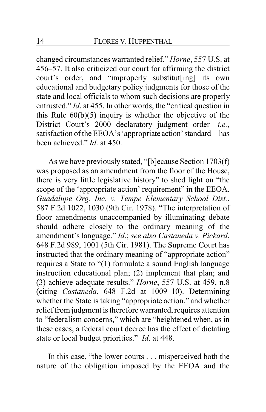changed circumstances warranted relief." *Horne*, 557 U.S. at 456–57. It also criticized our court for affirming the district court's order, and "improperly substitut[ing] its own educational and budgetary policy judgments for those of the state and local officials to whom such decisions are properly entrusted." *Id*. at 455. In other words, the "critical question in this Rule  $60(b)(5)$  inquiry is whether the objective of the District Court's 2000 declaratory judgment order—*i.e.*, satisfaction of the EEOA's 'appropriate action'standard—has been achieved." *Id*. at 450.

As we have previously stated, "[b]ecause Section 1703(f) was proposed as an amendment from the floor of the House, there is very little legislative history" to shed light on "the scope of the 'appropriate action' requirement" in the EEOA. *Guadalupe Org. Inc. v. Tempe Elementary School Dist.*, 587 F.2d 1022, 1030 (9th Cir. 1978). "The interpretation of floor amendments unaccompanied by illuminating debate should adhere closely to the ordinary meaning of the amendment's language." *Id*.; *see also Castaneda v. Pickard*, 648 F.2d 989, 1001 (5th Cir. 1981). The Supreme Court has instructed that the ordinary meaning of "appropriate action" requires a State to "(1) formulate a sound English language instruction educational plan; (2) implement that plan; and (3) achieve adequate results." *Horne*, 557 U.S. at 459, n.8 (citing *Castaneda*, 648 F.2d at 1009–10). Determining whether the State is taking "appropriate action," and whether relief from judgment is therefore warranted, requires attention to "federalism concerns," which are "heightened when, as in these cases, a federal court decree has the effect of dictating state or local budget priorities." *Id*. at 448.

In this case, "the lower courts . . . misperceived both the nature of the obligation imposed by the EEOA and the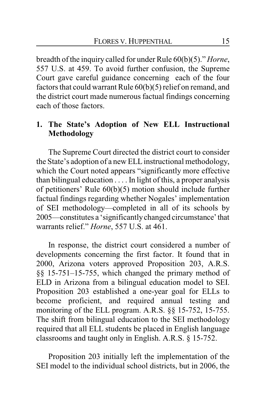breadth of the inquiry called for under Rule 60(b)(5)." *Horne*, 557 U.S. at 459. To avoid further confusion, the Supreme Court gave careful guidance concerning each of the four factors that could warrant Rule 60(b)(5) relief on remand, and the district court made numerous factual findings concerning each of those factors.

# **1. The State's Adoption of New ELL Instructional Methodology**

The Supreme Court directed the district court to consider the State's adoption of a new ELLinstructional methodology, which the Court noted appears "significantly more effective than bilingual education . . . . In light of this, a proper analysis of petitioners' Rule 60(b)(5) motion should include further factual findings regarding whether Nogales' implementation of SEI methodology—completed in all of its schools by 2005—constitutes a 'significantlychanged circumstance'that warrants relief." *Horne*, 557 U.S. at 461.

In response, the district court considered a number of developments concerning the first factor. It found that in 2000, Arizona voters approved Proposition 203, A.R.S. §§ 15-751–15-755, which changed the primary method of ELD in Arizona from a bilingual education model to SEI. Proposition 203 established a one-year goal for ELLs to become proficient, and required annual testing and monitoring of the ELL program. A.R.S. §§ 15-752, 15-755. The shift from bilingual education to the SEI methodology required that all ELL students be placed in English language classrooms and taught only in English. A.R.S. § 15-752.

Proposition 203 initially left the implementation of the SEI model to the individual school districts, but in 2006, the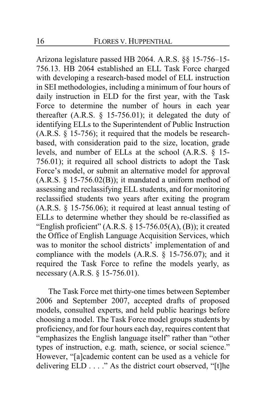Arizona legislature passed HB 2064. A.R.S. §§ 15-756–15- 756.13. HB 2064 established an ELL Task Force charged with developing a research-based model of ELL instruction in SEI methodologies, including a minimum of four hours of daily instruction in ELD for the first year, with the Task Force to determine the number of hours in each year thereafter (A.R.S.  $\S$  15-756.01); it delegated the duty of identifying ELLs to the Superintendent of Public Instruction (A.R.S. § 15-756); it required that the models be researchbased, with consideration paid to the size, location, grade levels, and number of ELLs at the school (A.R.S. § 15- 756.01); it required all school districts to adopt the Task Force's model, or submit an alternative model for approval  $(A.R.S. § 15-756.02(B))$ ; it mandated a uniform method of assessing and reclassifying ELL students, and for monitoring reclassified students two years after exiting the program (A.R.S. § 15-756.06); it required at least annual testing of ELLs to determine whether they should be re-classified as "English proficient"  $(A.R.S. \S 15-756.05(A), (B))$ ; it created the Office of English Language Acquisition Services, which was to monitor the school districts' implementation of and compliance with the models (A.R.S. § 15-756.07); and it required the Task Force to refine the models yearly, as necessary (A.R.S. § 15-756.01).

The Task Force met thirty-one times between September 2006 and September 2007, accepted drafts of proposed models, consulted experts, and held public hearings before choosing a model. The Task Force model groups students by proficiency, and for four hours each day, requires content that "emphasizes the English language itself" rather than "other types of instruction, e.g. math, science, or social science." However, "[a]cademic content can be used as a vehicle for delivering ELD . . . ." As the district court observed, "[t]he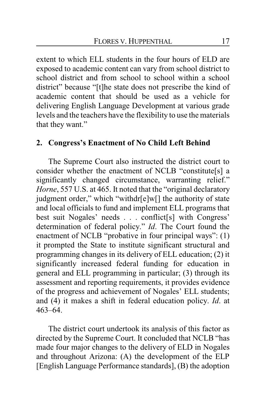extent to which ELL students in the four hours of ELD are exposed to academic content can vary from school district to school district and from school to school within a school district" because "[t]he state does not prescribe the kind of academic content that should be used as a vehicle for delivering English Language Development at various grade levels and the teachers have the flexibility to use the materials that they want."

# **2. Congress's Enactment of No Child Left Behind**

The Supreme Court also instructed the district court to consider whether the enactment of NCLB "constitute[s] a significantly changed circumstance, warranting relief." *Horne*, 557 U.S. at 465. It noted that the "original declaratory judgment order," which "withdr[e]w[] the authority of state and local officials to fund and implement ELL programs that best suit Nogales' needs . . . conflict[s] with Congress' determination of federal policy." *Id*. The Court found the enactment of NCLB "probative in four principal ways": (1) it prompted the State to institute significant structural and programming changes in its delivery of ELL education; (2) it significantly increased federal funding for education in general and ELL programming in particular; (3) through its assessment and reporting requirements, it provides evidence of the progress and achievement of Nogales' ELL students; and (4) it makes a shift in federal education policy. *Id*. at 463–64.

The district court undertook its analysis of this factor as directed by the Supreme Court. It concluded that NCLB "has made four major changes to the delivery of ELD in Nogales and throughout Arizona: (A) the development of the ELP [English Language Performance standards], (B) the adoption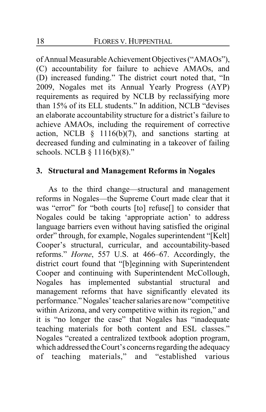of Annual Measurable Achievement Objectives ("AMAOs"), (C) accountability for failure to achieve AMAOs, and (D) increased funding." The district court noted that, "In 2009, Nogales met its Annual Yearly Progress (AYP) requirements as required by NCLB by reclassifying more than 15% of its ELL students." In addition, NCLB "devises an elaborate accountability structure for a district's failure to achieve AMAOs, including the requirement of corrective action, NCLB  $\S$  1116(b)(7), and sanctions starting at decreased funding and culminating in a takeover of failing schools. NCLB § 1116(b)(8)."

# **3. Structural and Management Reforms in Nogales**

As to the third change—structural and management reforms in Nogales—the Supreme Court made clear that it was "error" for "both courts [to] refuse[] to consider that Nogales could be taking 'appropriate action' to address language barriers even without having satisfied the original order" through, for example, Nogales superintendent "[Kelt] Cooper's structural, curricular, and accountability-based reforms." *Horne*, 557 U.S. at 466–67. Accordingly, the district court found that "[b]eginning with Superintendent Cooper and continuing with Superintendent McCollough, Nogales has implemented substantial structural and management reforms that have significantly elevated its performance."Nogales'teacher salaries are now "competitive within Arizona, and very competitive within its region," and it is "no longer the case" that Nogales has "inadequate teaching materials for both content and ESL classes." Nogales "created a centralized textbook adoption program, which addressed the Court's concerns regarding the adequacy of teaching materials," and "established various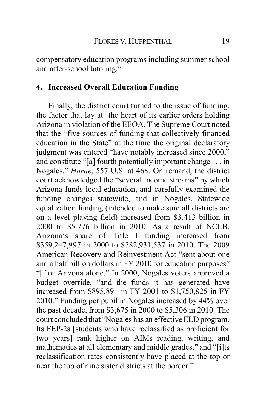compensatory education programs including summer school and after-school tutoring."

# **4. Increased Overall Education Funding**

Finally, the district court turned to the issue of funding, the factor that lay at the heart of its earlier orders holding Arizona in violation of the EEOA. The Supreme Court noted that the "five sources of funding that collectively financed education in the State" at the time the original declaratory judgment was entered "have notably increased since 2000," and constitute "[a] fourth potentially important change . . . in Nogales." *Horne*, 557 U.S. at 468. On remand, the district court acknowledged the "several income streams" by which Arizona funds local education, and carefully examined the funding changes statewide, and in Nogales. Statewide equalization funding (intended to make sure all districts are on a level playing field) increased from \$3.413 billion in 2000 to \$5.776 billion in 2010. As a result of NCLB, Arizona's share of Title I funding increased from \$359,247,997 in 2000 to \$582,931,537 in 2010. The 2009 American Recovery and Reinvestment Act "sent about one and a half billion dollars in FY 2010 for education purposes" "[f]or Arizona alone." In 2000, Nogales voters approved a budget override, "and the funds it has generated have increased from \$895,891 in FY 2001 to \$1,750,825 in FY 2010." Funding per pupil in Nogales increased by 44% over the past decade, from \$3,675 in 2000 to \$5,306 in 2010. The court concluded that "Nogales has an effective ELD program. Its FEP-2s [students who have reclassified as proficient for two years] rank higher on AIMs reading, writing, and mathematics at all elementary and middle grades," and "[i]ts reclassification rates consistently have placed at the top or near the top of nine sister districts at the border."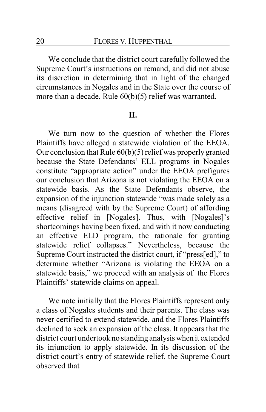We conclude that the district court carefully followed the Supreme Court's instructions on remand, and did not abuse its discretion in determining that in light of the changed circumstances in Nogales and in the State over the course of more than a decade, Rule 60(b)(5) relief was warranted.

#### **II.**

We turn now to the question of whether the Flores Plaintiffs have alleged a statewide violation of the EEOA. Our conclusion that Rule 60(b)(5) relief was properly granted because the State Defendants' ELL programs in Nogales constitute "appropriate action" under the EEOA prefigures our conclusion that Arizona is not violating the EEOA on a statewide basis. As the State Defendants observe, the expansion of the injunction statewide "was made solely as a means (disagreed with by the Supreme Court) of affording effective relief in [Nogales]. Thus, with [Nogales]'s shortcomings having been fixed, and with it now conducting an effective ELD program, the rationale for granting statewide relief collapses." Nevertheless, because the Supreme Court instructed the district court, if "press[ed]," to determine whether "Arizona is violating the EEOA on a statewide basis," we proceed with an analysis of the Flores Plaintiffs' statewide claims on appeal.

We note initially that the Flores Plaintiffs represent only a class of Nogales students and their parents. The class was never certified to extend statewide, and the Flores Plaintiffs declined to seek an expansion of the class. It appears that the district court undertook no standing analysis when it extended its injunction to apply statewide. In its discussion of the district court's entry of statewide relief, the Supreme Court observed that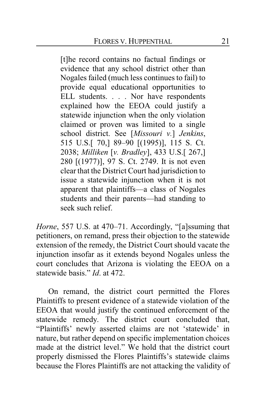[t]he record contains no factual findings or evidence that any school district other than Nogales failed (much less continues to fail) to provide equal educational opportunities to ELL students. . . . Nor have respondents explained how the EEOA could justify a statewide injunction when the only violation claimed or proven was limited to a single school district. See [*Missouri v.*] *Jenkins*, 515 U.S.[ 70,] 89–90 [(1995)], 115 S. Ct. 2038; *Milliken* [*v. Bradley*], 433 U.S.[ 267,] 280 [(1977)], 97 S. Ct. 2749. It is not even clear that the District Court had jurisdiction to issue a statewide injunction when it is not apparent that plaintiffs—a class of Nogales students and their parents—had standing to seek such relief.

*Horne*, 557 U.S. at 470–71. Accordingly, "[a]ssuming that petitioners, on remand, press their objection to the statewide extension of the remedy, the District Court should vacate the injunction insofar as it extends beyond Nogales unless the court concludes that Arizona is violating the EEOA on a statewide basis." *Id*. at 472.

On remand, the district court permitted the Flores Plaintiffs to present evidence of a statewide violation of the EEOA that would justify the continued enforcement of the statewide remedy. The district court concluded that, "Plaintiffs' newly asserted claims are not 'statewide' in nature, but rather depend on specific implementation choices made at the district level." We hold that the district court properly dismissed the Flores Plaintiffs's statewide claims because the Flores Plaintiffs are not attacking the validity of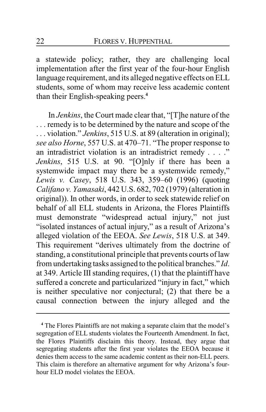a statewide policy; rather, they are challenging local implementation after the first year of the four-hour English language requirement, and its alleged negative effects on ELL students, some of whom may receive less academic content than their English-speaking peers.**<sup>4</sup>**

In *Jenkins*, the Court made clear that, "[T]he nature of the . . . remedy is to be determined by the nature and scope of the . . . violation." *Jenkins*, 515 U.S. at 89 (alteration in original); *see also Horne*, 557 U.S. at 470–71. "The proper response to an intradistrict violation is an intradistrict remedy . . . ." *Jenkins*, 515 U.S. at 90. "[O]nly if there has been a systemwide impact may there be a systemwide remedy," *Lewis v. Casey*, 518 U.S. 343, 359–60 (1996) (quoting *Califano v. Yamasaki*, 442 U.S. 682, 702 (1979) (alteration in original)). In other words, in order to seek statewide relief on behalf of all ELL students in Arizona, the Flores Plaintiffs must demonstrate "widespread actual injury," not just "isolated instances of actual injury," as a result of Arizona's alleged violation of the EEOA. *See Lewis*, 518 U.S. at 349. This requirement "derives ultimately from the doctrine of standing, a constitutional principle that prevents courts of law from undertaking tasks assigned to the political branches." *Id*. at 349. Article III standing requires, (1) that the plaintiff have suffered a concrete and particularized "injury in fact," which is neither speculative nor conjectural; (2) that there be a causal connection between the injury alleged and the

**<sup>4</sup>** The Flores Plaintiffs are not making a separate claim that the model's segregation of ELL students violates the Fourteenth Amendment. In fact, the Flores Plaintiffs disclaim this theory. Instead, they argue that segregating students after the first year violates the EEOA because it denies them access to the same academic content as their non-ELL peers. This claim is therefore an alternative argument for why Arizona's fourhour ELD model violates the EEOA.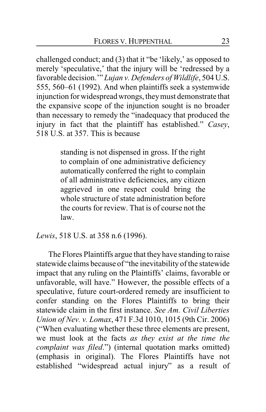challenged conduct; and (3) that it "be 'likely,' as opposed to merely 'speculative,' that the injury will be 'redressed by a favorable decision.'" *Lujan v. Defenders of Wildlife*, 504 U.S. 555, 560–61 (1992). And when plaintiffs seek a systemwide injunction for widespread wrongs, theymust demonstrate that the expansive scope of the injunction sought is no broader than necessary to remedy the "inadequacy that produced the injury in fact that the plaintiff has established." *Casey*, 518 U.S. at 357. This is because

> standing is not dispensed in gross. If the right to complain of one administrative deficiency automatically conferred the right to complain of all administrative deficiencies, any citizen aggrieved in one respect could bring the whole structure of state administration before the courts for review. That is of course not the law.

*Lewis*, 518 U.S. at 358 n.6 (1996).

The Flores Plaintiffs argue that they have standing to raise statewide claims because of "the inevitability of the statewide impact that any ruling on the Plaintiffs' claims, favorable or unfavorable, will have." However, the possible effects of a speculative, future court-ordered remedy are insufficient to confer standing on the Flores Plaintiffs to bring their statewide claim in the first instance. *See Am. Civil Liberties Union of Nev. v. Lomax*, 471 F.3d 1010, 1015 (9th Cir. 2006) ("When evaluating whether these three elements are present, we must look at the facts *as they exist at the time the complaint was filed*.") (internal quotation marks omitted) (emphasis in original). The Flores Plaintiffs have not established "widespread actual injury" as a result of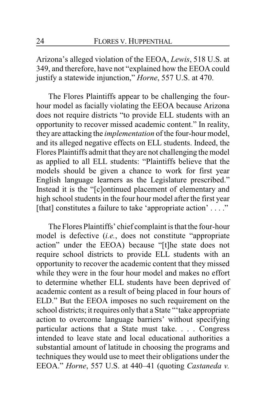Arizona's alleged violation of the EEOA, *Lewis*, 518 U.S. at 349, and therefore, have not "explained how the EEOA could justify a statewide injunction," *Horne*, 557 U.S. at 470.

The Flores Plaintiffs appear to be challenging the fourhour model as facially violating the EEOA because Arizona does not require districts "to provide ELL students with an opportunity to recover missed academic content." In reality, they are attacking the *implementation* of the four-hour model, and its alleged negative effects on ELL students. Indeed, the Flores Plaintiffs admit that they are not challenging the model as applied to all ELL students: "Plaintiffs believe that the models should be given a chance to work for first year English language learners as the Legislature prescribed." Instead it is the "[c]ontinued placement of elementary and high school students in the four hour model after the first year [that] constitutes a failure to take 'appropriate action' . . . ."

The Flores Plaintiffs' chief complaint is that the four-hour model is defective (*i.e.*, does not constitute "appropriate action" under the EEOA) because "[t]he state does not require school districts to provide ELL students with an opportunity to recover the academic content that they missed while they were in the four hour model and makes no effort to determine whether ELL students have been deprived of academic content as a result of being placed in four hours of ELD." But the EEOA imposes no such requirement on the school districts; it requires only that a State "'take appropriate action to overcome language barriers' without specifying particular actions that a State must take. . . . Congress intended to leave state and local educational authorities a substantial amount of latitude in choosing the programs and techniques they would use to meet their obligations under the EEOA." *Horne*, 557 U.S. at 440–41 (quoting *Castaneda v.*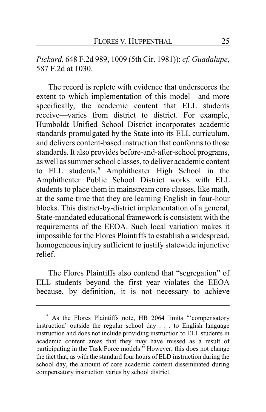*Pickard*, 648 F.2d 989, 1009 (5th Cir. 1981)); *cf. Guadalupe*, 587 F.2d at 1030.

The record is replete with evidence that underscores the extent to which implementation of this model—and more specifically, the academic content that ELL students receive—varies from district to district. For example, Humboldt Unified School District incorporates academic standards promulgated by the State into its ELL curriculum, and delivers content-based instruction that conforms to those standards. It also provides before-and-after-school programs, as well as summer school classes, to deliver academic content to ELL students.**<sup>5</sup>** Amphitheater High School in the Amphitheater Public School District works with ELL students to place them in mainstream core classes, like math, at the same time that they are learning English in four-hour blocks. This district-by-district implementation of a general, State-mandated educational framework is consistent with the requirements of the EEOA. Such local variation makes it impossible for the Flores Plaintiffs to establish a widespread, homogeneous injury sufficient to justify statewide injunctive relief.

The Flores Plaintiffs also contend that "segregation" of ELL students beyond the first year violates the EEOA because, by definition, it is not necessary to achieve

**<sup>5</sup>** As the Flores Plaintiffs note, HB 2064 limits "'compensatory instruction' outside the regular school day . . . to English language instruction and does not include providing instruction to ELL students in academic content areas that they may have missed as a result of participating in the Task Force models." However, this does not change the fact that, as with the standard four hours of ELD instruction during the school day, the amount of core academic content disseminated during compensatory instruction varies by school district.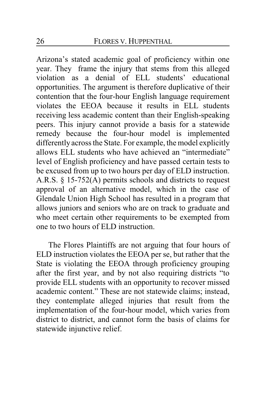Arizona's stated academic goal of proficiency within one year. They frame the injury that stems from this alleged violation as a denial of ELL students' educational opportunities. The argument is therefore duplicative of their contention that the four-hour English language requirement violates the EEOA because it results in ELL students receiving less academic content than their English-speaking peers. This injury cannot provide a basis for a statewide remedy because the four-hour model is implemented differently across the State. For example, the model explicitly allows ELL students who have achieved an "intermediate" level of English proficiency and have passed certain tests to be excused from up to two hours per day of ELD instruction. A.R.S. § 15-752(A) permits schools and districts to request approval of an alternative model, which in the case of Glendale Union High School has resulted in a program that allows juniors and seniors who are on track to graduate and who meet certain other requirements to be exempted from one to two hours of ELD instruction.

The Flores Plaintiffs are not arguing that four hours of ELD instruction violates the EEOA per se, but rather that the State is violating the EEOA through proficiency grouping after the first year, and by not also requiring districts "to provide ELL students with an opportunity to recover missed academic content." These are not statewide claims; instead, they contemplate alleged injuries that result from the implementation of the four-hour model, which varies from district to district, and cannot form the basis of claims for statewide injunctive relief.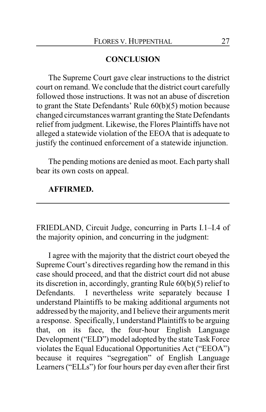# **CONCLUSION**

The Supreme Court gave clear instructions to the district court on remand. We conclude that the district court carefully followed those instructions. It was not an abuse of discretion to grant the State Defendants' Rule 60(b)(5) motion because changed circumstances warrant granting the State Defendants relief from judgment. Likewise, the Flores Plaintiffs have not alleged a statewide violation of the EEOA that is adequate to justify the continued enforcement of a statewide injunction.

The pending motions are denied as moot. Each party shall bear its own costs on appeal.

# **AFFIRMED.**

FRIEDLAND, Circuit Judge, concurring in Parts I.1–I.4 of the majority opinion, and concurring in the judgment:

I agree with the majority that the district court obeyed the Supreme Court's directives regarding how the remand in this case should proceed, and that the district court did not abuse its discretion in, accordingly, granting Rule 60(b)(5) relief to Defendants. I nevertheless write separately because I understand Plaintiffs to be making additional arguments not addressed by the majority, and I believe their arguments merit a response. Specifically, I understand Plaintiffs to be arguing that, on its face, the four-hour English Language Development ("ELD") model adopted by the state Task Force violates the Equal Educational Opportunities Act ("EEOA") because it requires "segregation" of English Language Learners ("ELLs") for four hours per day even after their first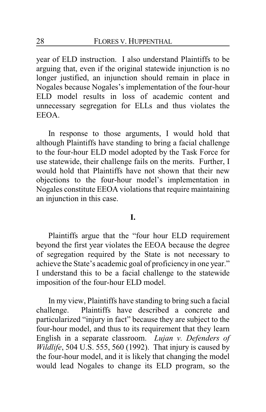year of ELD instruction. I also understand Plaintiffs to be arguing that, even if the original statewide injunction is no longer justified, an injunction should remain in place in Nogales because Nogales's implementation of the four-hour ELD model results in loss of academic content and unnecessary segregation for ELLs and thus violates the EEOA.

In response to those arguments, I would hold that although Plaintiffs have standing to bring a facial challenge to the four-hour ELD model adopted by the Task Force for use statewide, their challenge fails on the merits. Further, I would hold that Plaintiffs have not shown that their new objections to the four-hour model's implementation in Nogales constitute EEOA violations that require maintaining an injunction in this case.

### **I.**

Plaintiffs argue that the "four hour ELD requirement beyond the first year violates the EEOA because the degree of segregation required by the State is not necessary to achieve the State's academic goal of proficiency in one year." I understand this to be a facial challenge to the statewide imposition of the four-hour ELD model.

In my view, Plaintiffs have standing to bring such a facial challenge. Plaintiffs have described a concrete and particularized "injury in fact" because they are subject to the four-hour model, and thus to its requirement that they learn English in a separate classroom. *Lujan v. Defenders of Wildlife*, 504 U.S. 555, 560 (1992). That injury is caused by the four-hour model, and it is likely that changing the model would lead Nogales to change its ELD program, so the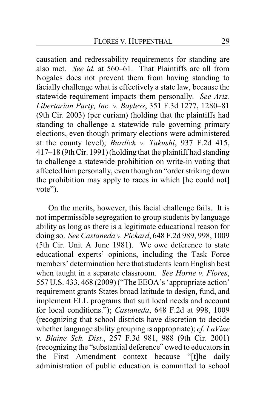causation and redressability requirements for standing are also met. *See id.* at 560–61. That Plaintiffs are all from Nogales does not prevent them from having standing to facially challenge what is effectively a state law, because the statewide requirement impacts them personally. *See Ariz. Libertarian Party, Inc. v. Bayless*, 351 F.3d 1277, 1280–81 (9th Cir. 2003) (per curiam) (holding that the plaintiffs had standing to challenge a statewide rule governing primary elections, even though primary elections were administered at the county level); *Burdick v. Takushi*, 937 F.2d 415, 417–18 (9th Cir. 1991) (holding that the plaintiff had standing to challenge a statewide prohibition on write-in voting that affected him personally, even though an "order striking down the prohibition may apply to races in which [he could not] vote").

On the merits, however, this facial challenge fails. It is not impermissible segregation to group students by language ability as long as there is a legitimate educational reason for doing so. *See Castaneda v. Pickard*, 648 F.2d 989, 998, 1009 (5th Cir. Unit A June 1981). We owe deference to state educational experts' opinions, including the Task Force members' determination here that students learn English best when taught in a separate classroom. *See Horne v. Flores*, 557 U.S. 433, 468 (2009) ("The EEOA's 'appropriate action' requirement grants States broad latitude to design, fund, and implement ELL programs that suit local needs and account for local conditions."); *Castaneda*, 648 F.2d at 998, 1009 (recognizing that school districts have discretion to decide whether language ability grouping is appropriate); *cf. LaVine v. Blaine Sch. Dist.*, 257 F.3d 981, 988 (9th Cir. 2001) (recognizing the "substantial deference" owed to educators in the First Amendment context because "[t]he daily administration of public education is committed to school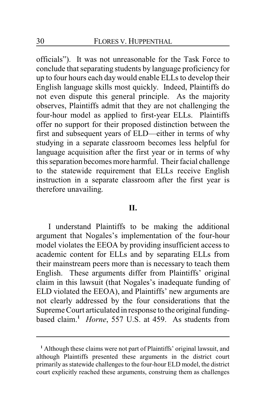officials"). It was not unreasonable for the Task Force to conclude that separating students by language proficiency for up to four hours each day would enable ELLs to develop their English language skills most quickly. Indeed, Plaintiffs do not even dispute this general principle. As the majority observes, Plaintiffs admit that they are not challenging the four-hour model as applied to first-year ELLs. Plaintiffs offer no support for their proposed distinction between the first and subsequent years of ELD—either in terms of why studying in a separate classroom becomes less helpful for language acquisition after the first year or in terms of why this separation becomes more harmful. Their facial challenge to the statewide requirement that ELLs receive English instruction in a separate classroom after the first year is therefore unavailing.

### **II.**

I understand Plaintiffs to be making the additional argument that Nogales's implementation of the four-hour model violates the EEOA by providing insufficient access to academic content for ELLs and by separating ELLs from their mainstream peers more than is necessary to teach them English. These arguments differ from Plaintiffs' original claim in this lawsuit (that Nogales's inadequate funding of ELD violated the EEOA), and Plaintiffs' new arguments are not clearly addressed by the four considerations that the Supreme Court articulated in response to the original fundingbased claim.**<sup>1</sup>** *Horne*, 557 U.S. at 459. As students from

**<sup>1</sup>** Although these claims were not part of Plaintiffs' original lawsuit, and although Plaintiffs presented these arguments in the district court primarily as statewide challenges to the four-hour ELD model, the district court explicitly reached these arguments, construing them as challenges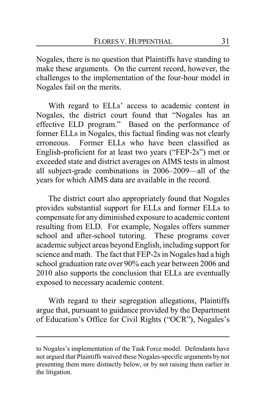Nogales, there is no question that Plaintiffs have standing to make these arguments. On the current record, however, the challenges to the implementation of the four-hour model in Nogales fail on the merits.

With regard to ELLs' access to academic content in Nogales, the district court found that "Nogales has an effective ELD program." Based on the performance of former ELLs in Nogales, this factual finding was not clearly erroneous. Former ELLs who have been classified as English-proficient for at least two years ("FEP-2s") met or exceeded state and district averages on AIMS tests in almost all subject-grade combinations in 2006–2009—all of the years for which AIMS data are available in the record.

The district court also appropriately found that Nogales provides substantial support for ELLs and former ELLs to compensate for any diminished exposure to academic content resulting from ELD. For example, Nogales offers summer school and after-school tutoring. These programs cover academic subject areas beyond English, including support for science and math. The fact that FEP-2s in Nogales had a high school graduation rate over 90% each year between 2006 and 2010 also supports the conclusion that ELLs are eventually exposed to necessary academic content.

With regard to their segregation allegations, Plaintiffs argue that, pursuant to guidance provided by the Department of Education's Office for Civil Rights ("OCR"), Nogales's

to Nogales's implementation of the Task Force model. Defendants have not argued that Plaintiffs waived these Nogales-specific arguments by not presenting them more distinctly below, or by not raising them earlier in the litigation.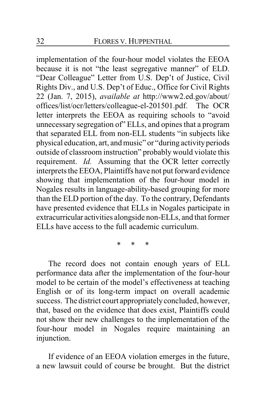implementation of the four-hour model violates the EEOA because it is not "the least segregative manner" of ELD. "Dear Colleague" Letter from U.S. Dep't of Justice, Civil Rights Div., and U.S. Dep't of Educ., Office for Civil Rights 22 (Jan. 7, 2015), *available at* http://www2.ed.gov/about/ offices/list/ocr/letters/colleague-el-201501.pdf. The OCR letter interprets the EEOA as requiring schools to "avoid unnecessary segregation of" ELLs, and opines that a program that separated ELL from non-ELL students "in subjects like physical education, art, and music" or "during activityperiods outside of classroom instruction" probably would violate this requirement. *Id.* Assuming that the OCR letter correctly interprets the EEOA, Plaintiffs have not put forward evidence showing that implementation of the four-hour model in Nogales results in language-ability-based grouping for more than the ELD portion of the day. To the contrary, Defendants have presented evidence that ELLs in Nogales participate in extracurricular activities alongside non-ELLs, and that former ELLs have access to the full academic curriculum.

\* \* \*

The record does not contain enough years of ELL performance data after the implementation of the four-hour model to be certain of the model's effectiveness at teaching English or of its long-term impact on overall academic success. The district court appropriately concluded, however, that, based on the evidence that does exist, Plaintiffs could not show their new challenges to the implementation of the four-hour model in Nogales require maintaining an injunction.

If evidence of an EEOA violation emerges in the future, a new lawsuit could of course be brought. But the district